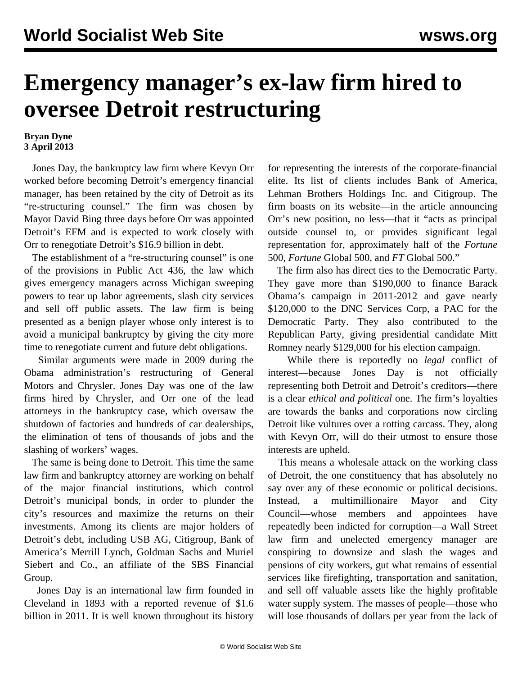## **Emergency manager's ex-law firm hired to oversee Detroit restructuring**

## **Bryan Dyne 3 April 2013**

 Jones Day, the bankruptcy law firm where Kevyn Orr worked before becoming Detroit's emergency financial manager, has been retained by the city of Detroit as its "re-structuring counsel." The firm was chosen by Mayor David Bing three days before Orr was appointed Detroit's EFM and is expected to work closely with Orr to renegotiate Detroit's \$16.9 billion in debt.

 The establishment of a "re-structuring counsel" is one of the provisions in Public Act 436, the law which gives emergency managers across Michigan sweeping powers to tear up labor agreements, slash city services and sell off public assets. The law firm is being presented as a benign player whose only interest is to avoid a municipal bankruptcy by giving the city more time to renegotiate current and future debt obligations.

 Similar arguments were made in 2009 during the Obama administration's restructuring of General Motors and Chrysler. Jones Day was one of the law firms hired by Chrysler, and Orr one of the lead attorneys in the bankruptcy case, which oversaw the shutdown of factories and hundreds of car dealerships, the elimination of tens of thousands of jobs and the slashing of workers' wages.

 The same is being done to Detroit. This time the same law firm and bankruptcy attorney are working on behalf of the major financial institutions, which control Detroit's municipal bonds, in order to plunder the city's resources and maximize the returns on their investments. Among its clients are major holders of Detroit's debt, including USB AG, Citigroup, Bank of America's Merrill Lynch, Goldman Sachs and Muriel Siebert and Co., an affiliate of the SBS Financial Group.

 Jones Day is an international law firm founded in Cleveland in 1893 with a reported revenue of \$1.6 billion in 2011. It is well known throughout its history for representing the interests of the corporate-financial elite. Its list of clients includes Bank of America, Lehman Brothers Holdings Inc. and Citigroup. The firm boasts on its website—in the article announcing Orr's new position, no less—that it "acts as principal outside counsel to, or provides significant legal representation for, approximately half of the *Fortune* 500, *Fortune* Global 500, and *FT* Global 500."

 The firm also has direct ties to the Democratic Party. They gave more than \$190,000 to finance Barack Obama's campaign in 2011-2012 and gave nearly \$120,000 to the DNC Services Corp, a PAC for the Democratic Party. They also contributed to the Republican Party, giving presidential candidate Mitt Romney nearly \$129,000 for his election campaign.

 While there is reportedly no *legal* conflict of interest—because Jones Day is not officially representing both Detroit and Detroit's creditors—there is a clear *ethical and political* one. The firm's loyalties are towards the banks and corporations now circling Detroit like vultures over a rotting carcass. They, along with Kevyn Orr, will do their utmost to ensure those interests are upheld.

 This means a wholesale attack on the working class of Detroit, the one constituency that has absolutely no say over any of these economic or political decisions. Instead, a multimillionaire Mayor and City Council—whose members and appointees have repeatedly been indicted for corruption—a Wall Street law firm and unelected emergency manager are conspiring to downsize and slash the wages and pensions of city workers, gut what remains of essential services like firefighting, transportation and sanitation, and sell off valuable assets like the highly profitable water supply system. The masses of people—those who will lose thousands of dollars per year from the lack of